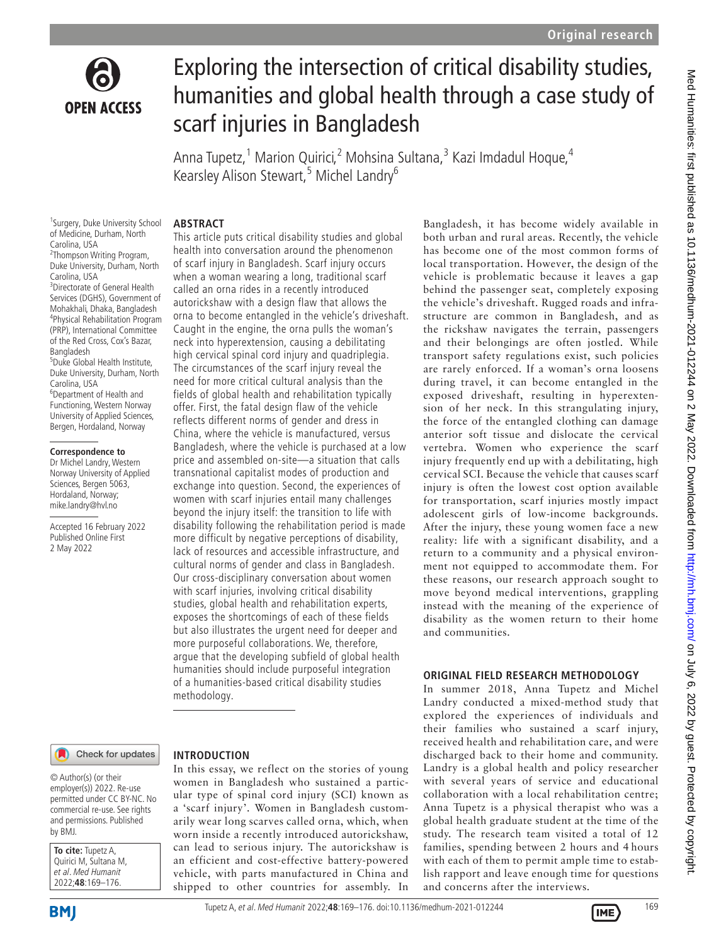

# Exploring the intersection of critical disability studies, humanities and global health through a case study of scarf injuries in Bangladesh

Anna Tupetz,<sup>1</sup> Marion Quirici,<sup>2</sup> Mohsina Sultana,<sup>3</sup> Kazi Imdadul Hoque,<sup>4</sup> Kearsley Alison Stewart,<sup>5</sup> Michel Landry<sup>6</sup>

## **ABSTRACT**

<sup>1</sup>Surgery, Duke University School of Medicine, Durham, North Carolina, USA <sup>2</sup>Thompson Writing Program, Duke University, Durham, North Carolina, USA 3 Directorate of General Health Services (DGHS), Government of Mohakhali, Dhaka, Bangladesh 4 Physical Rehabilitation Program (PRP), International Committee of the Red Cross, Cox's Bazar, Bangladesh 5 Duke Global Health Institute, Duke University, Durham, North Carolina, USA 6 Department of Health and Functioning, Western Norway University of Applied Sciences, Bergen, Hordaland, Norway

#### **Correspondence to**

Dr Michel Landry, Western Norway University of Applied Sciences, Bergen 5063, Hordaland, Norway; mike.landry@hvl.no

Accepted 16 February 2022 Published Online First 2 May 2022

This article puts critical disability studies and global health into conversation around the phenomenon of scarf injury in Bangladesh. Scarf injury occurs when a woman wearing a long, traditional scarf called an orna rides in a recently introduced autorickshaw with a design flaw that allows the orna to become entangled in the vehicle's driveshaft. Caught in the engine, the orna pulls the woman's neck into hyperextension, causing a debilitating high cervical spinal cord injury and quadriplegia. The circumstances of the scarf injury reveal the need for more critical cultural analysis than the fields of global health and rehabilitation typically offer. First, the fatal design flaw of the vehicle reflects different norms of gender and dress in China, where the vehicle is manufactured, versus Bangladesh, where the vehicle is purchased at a low price and assembled on-site—a situation that calls transnational capitalist modes of production and exchange into question. Second, the experiences of women with scarf injuries entail many challenges beyond the injury itself: the transition to life with disability following the rehabilitation period is made more difficult by negative perceptions of disability, lack of resources and accessible infrastructure, and cultural norms of gender and class in Bangladesh. Our cross-disciplinary conversation about women with scarf injuries, involving critical disability studies, global health and rehabilitation experts, exposes the shortcomings of each of these fields but also illustrates the urgent need for deeper and more purposeful collaborations. We, therefore, argue that the developing subfield of global health humanities should include purposeful integration of a humanities-based critical disability studies methodology.

#### Check for updates

#### © Author(s) (or their employer(s)) 2022. Re-use permitted under CC BY-NC. No commercial re-use. See rights and permissions. Published by BMJ.

| To cite: Tupetz A,                          |
|---------------------------------------------|
| Quirici M, Sultana M,<br>et al. Med Humanit |
|                                             |
| 2022;48:169-176.                            |

## **INTRODUCTION**

In this essay, we reflect on the stories of young women in Bangladesh who sustained a particular type of spinal cord injury (SCI) known as a 'scarf injury'. Women in Bangladesh customarily wear long scarves called orna, which, when worn inside a recently introduced autorickshaw, can lead to serious injury. The autorickshaw is an efficient and cost-effective battery-powered vehicle, with parts manufactured in China and shipped to other countries for assembly. In Bangladesh, it has become widely available in both urban and rural areas. Recently, the vehicle has become one of the most common forms of local transportation. However, the design of the vehicle is problematic because it leaves a gap behind the passenger seat, completely exposing the vehicle's driveshaft. Rugged roads and infrastructure are common in Bangladesh, and as the rickshaw navigates the terrain, passengers and their belongings are often jostled. While transport safety regulations exist, such policies are rarely enforced. If a woman's orna loosens during travel, it can become entangled in the exposed driveshaft, resulting in hyperextension of her neck. In this strangulating injury, the force of the entangled clothing can damage anterior soft tissue and dislocate the cervical vertebra. Women who experience the scarf injury frequently end up with a debilitating, high cervical SCI. Because the vehicle that causes scarf injury is often the lowest cost option available for transportation, scarf injuries mostly impact adolescent girls of low-income backgrounds. After the injury, these young women face a new reality: life with a significant disability, and a return to a community and a physical environment not equipped to accommodate them. For these reasons, our research approach sought to move beyond medical interventions, grappling instead with the meaning of the experience of disability as the women return to their home and communities.

#### **ORIGINAL FIELD RESEARCH METHODOLOGY**

In summer 2018, Anna Tupetz and Michel Landry conducted a mixed-method study that explored the experiences of individuals and their families who sustained a scarf injury, received health and rehabilitation care, and were discharged back to their home and community. Landry is a global health and policy researcher with several years of service and educational collaboration with a local rehabilitation centre; Anna Tupetz is a physical therapist who was a global health graduate student at the time of the study. The research team visited a total of 12 families, spending between 2 hours and 4 hours with each of them to permit ample time to establish rapport and leave enough time for questions and concerns after the interviews.

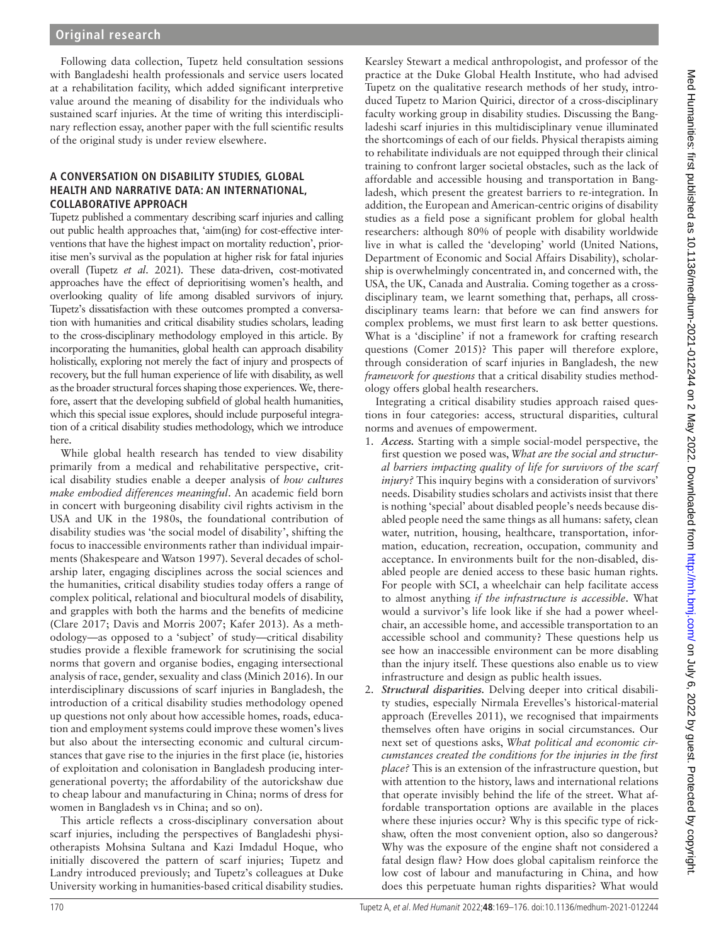## **Original research**

Following data collection, Tupetz held consultation sessions with Bangladeshi health professionals and service users located at a rehabilitation facility, which added significant interpretive value around the meaning of disability for the individuals who sustained scarf injuries. At the time of writing this interdisciplinary reflection essay, another paper with the full scientific results of the original study is under review elsewhere.

## **A CONVERSATION ON DISABILITY STUDIES, GLOBAL HEALTH AND NARRATIVE DATA: AN INTERNATIONAL, COLLABORATIVE APPROACH**

Tupetz published a commentary describing scarf injuries and calling out public health approaches that, 'aim(ing) for cost-effective interventions that have the highest impact on mortality reduction', prioritise men's survival as the population at higher risk for fatal injuries overall (Tupetz *et al*[. 2021](#page-7-0)). These data-driven, cost-motivated approaches have the effect of deprioritising women's health, and overlooking quality of life among disabled survivors of injury. Tupetz's dissatisfaction with these outcomes prompted a conversation with humanities and critical disability studies scholars, leading to the cross-disciplinary methodology employed in this article. By incorporating the humanities, global health can approach disability holistically, exploring not merely the fact of injury and prospects of recovery, but the full human experience of life with disability, as well as the broader structural forces shaping those experiences. We, therefore, assert that the developing subfield of global health humanities, which this special issue explores, should include purposeful integration of a critical disability studies methodology, which we introduce here.

While global health research has tended to view disability primarily from a medical and rehabilitative perspective, critical disability studies enable a deeper analysis of *how cultures make embodied differences meaningful*. An academic field born in concert with burgeoning disability civil rights activism in the USA and UK in the 1980s, the foundational contribution of disability studies was 'the social model of disability', shifting the focus to inaccessible environments rather than individual impairments [\(Shakespeare and Watson 1997](#page-7-1)). Several decades of scholarship later, engaging disciplines across the social sciences and the humanities, critical disability studies today offers a range of complex political, relational and biocultural models of disability, and grapples with both the harms and the benefits of medicine [\(Clare 2017](#page-7-2); [Davis and Morris 2007;](#page-7-3) [Kafer 2013\)](#page-7-4). As a methodology—as opposed to a 'subject' of study—critical disability studies provide a flexible framework for scrutinising the social norms that govern and organise bodies, engaging intersectional analysis of race, gender, sexuality and class [\(Minich 2016\)](#page-7-5). In our interdisciplinary discussions of scarf injuries in Bangladesh, the introduction of a critical disability studies methodology opened up questions not only about how accessible homes, roads, education and employment systems could improve these women's lives but also about the intersecting economic and cultural circumstances that gave rise to the injuries in the first place (ie, histories of exploitation and colonisation in Bangladesh producing intergenerational poverty; the affordability of the autorickshaw due to cheap labour and manufacturing in China; norms of dress for women in Bangladesh vs in China; and so on).

This article reflects a cross-disciplinary conversation about scarf injuries, including the perspectives of Bangladeshi physiotherapists Mohsina Sultana and Kazi Imdadul Hoque, who initially discovered the pattern of scarf injuries; Tupetz and Landry introduced previously; and Tupetz's colleagues at Duke University working in humanities-based critical disability studies.

Kearsley Stewart a medical anthropologist, and professor of the practice at the Duke Global Health Institute, who had advised Tupetz on the qualitative research methods of her study, introduced Tupetz to Marion Quirici, director of a cross-disciplinary faculty working group in disability studies. Discussing the Bangladeshi scarf injuries in this multidisciplinary venue illuminated the shortcomings of each of our fields. Physical therapists aiming to rehabilitate individuals are not equipped through their clinical training to confront larger societal obstacles, such as the lack of affordable and accessible housing and transportation in Bangladesh, which present the greatest barriers to re-integration. In addition, the European and American-centric origins of disability studies as a field pose a significant problem for global health researchers: although 80% of people with disability worldwide live in what is called the 'developing' world ([United Nations,](#page-7-6) [Department of Economic and Social Affairs Disability\)](#page-7-6), scholarship is overwhelmingly concentrated in, and concerned with, the USA, the UK, Canada and Australia. Coming together as a crossdisciplinary team, we learnt something that, perhaps, all crossdisciplinary teams learn: that before we can find answers for complex problems, we must first learn to ask better questions. What is a 'discipline' if not a framework for crafting research questions ([Comer 2015](#page-7-7))? This paper will therefore explore, through consideration of scarf injuries in Bangladesh, the new *framework for questions* that a critical disability studies methodology offers global health researchers.

Integrating a critical disability studies approach raised questions in four categories: access, structural disparities, cultural norms and avenues of empowerment.

- 1. *Access.* Starting with a simple social-model perspective, the first question we posed was, *What are the social and structural barriers impacting quality of life for survivors of the scarf injury?* This inquiry begins with a consideration of survivors' needs. Disability studies scholars and activists insist that there is nothing 'special' about disabled people's needs because disabled people need the same things as all humans: safety, clean water, nutrition, housing, healthcare, transportation, information, education, recreation, occupation, community and acceptance. In environments built for the non-disabled, disabled people are denied access to these basic human rights. For people with SCI, a wheelchair can help facilitate access to almost anything *if the infrastructure is accessible*. What would a survivor's life look like if she had a power wheelchair, an accessible home, and accessible transportation to an accessible school and community? These questions help us see how an inaccessible environment can be more disabling than the injury itself. These questions also enable us to view infrastructure and design as public health issues.
- 2. *Structural disparities.* Delving deeper into critical disability studies, especially Nirmala Erevelles's historical-material approach ([Erevelles 2011](#page-7-8)), we recognised that impairments themselves often have origins in social circumstances. Our next set of questions asks, *What political and economic circumstances created the conditions for the injuries in the first place?* This is an extension of the infrastructure question, but with attention to the history, laws and international relations that operate invisibly behind the life of the street. What affordable transportation options are available in the places where these injuries occur? Why is this specific type of rickshaw, often the most convenient option, also so dangerous? Why was the exposure of the engine shaft not considered a fatal design flaw? How does global capitalism reinforce the low cost of labour and manufacturing in China, and how does this perpetuate human rights disparities? What would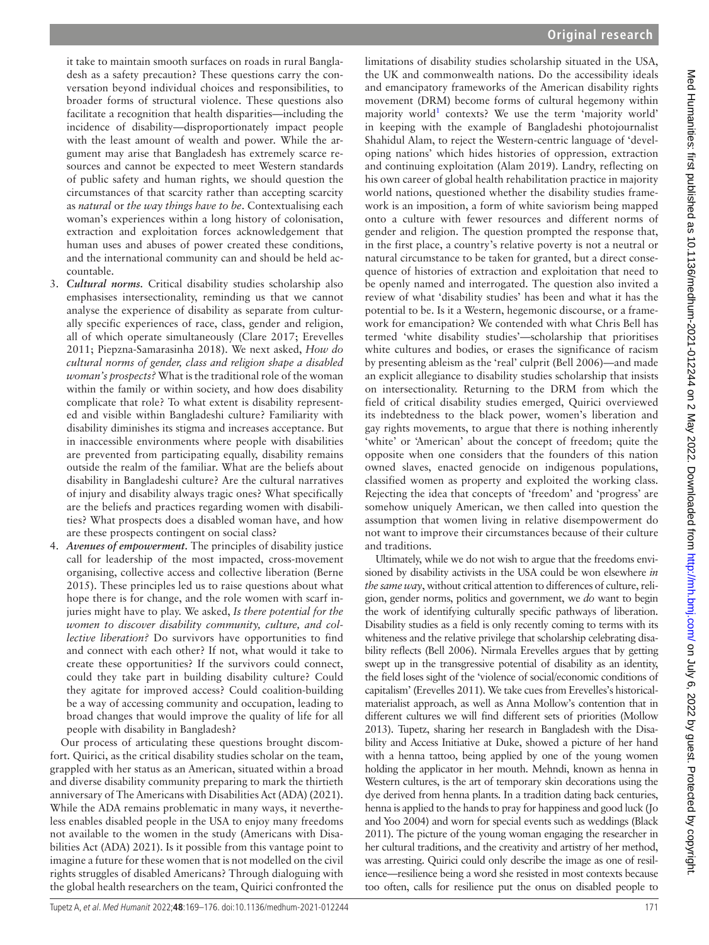it take to maintain smooth surfaces on roads in rural Bangladesh as a safety precaution? These questions carry the conversation beyond individual choices and responsibilities, to broader forms of structural violence. These questions also facilitate a recognition that health disparities—including the incidence of disability—disproportionately impact people with the least amount of wealth and power. While the argument may arise that Bangladesh has extremely scarce resources and cannot be expected to meet Western standards of public safety and human rights, we should question the circumstances of that scarcity rather than accepting scarcity as *natural* or *the way things have to be*. Contextualising each woman's experiences within a long history of colonisation, extraction and exploitation forces acknowledgement that human uses and abuses of power created these conditions, and the international community can and should be held accountable.

- 3. *Cultural norms.* Critical disability studies scholarship also emphasises intersectionality, reminding us that we cannot analyse the experience of disability as separate from culturally specific experiences of race, class, gender and religion, all of which operate simultaneously [\(Clare 2017;](#page-7-2) [Erevelles](#page-7-8)  [2011](#page-7-8); [Piepzna-Samarasinha 2018](#page-7-9)). We next asked, *How do cultural norms of gender, class and religion shape a disabled woman's prospects?* What is the traditional role of the woman within the family or within society, and how does disability complicate that role? To what extent is disability represented and visible within Bangladeshi culture? Familiarity with disability diminishes its stigma and increases acceptance. But in inaccessible environments where people with disabilities are prevented from participating equally, disability remains outside the realm of the familiar. What are the beliefs about disability in Bangladeshi culture? Are the cultural narratives of injury and disability always tragic ones? What specifically are the beliefs and practices regarding women with disabilities? What prospects does a disabled woman have, and how are these prospects contingent on social class?
- 4. *Avenues of empowerment.* The principles of disability justice call for leadership of the most impacted, cross-movement organising, collective access and collective liberation [\(Berne](#page-7-10)  [2015](#page-7-10)). These principles led us to raise questions about what hope there is for change, and the role women with scarf injuries might have to play. We asked, *Is there potential for the women to discover disability community, culture, and collective liberation?* Do survivors have opportunities to find and connect with each other? If not, what would it take to create these opportunities? If the survivors could connect, could they take part in building disability culture? Could they agitate for improved access? Could coalition-building be a way of accessing community and occupation, leading to broad changes that would improve the quality of life for all people with disability in Bangladesh?

Our process of articulating these questions brought discomfort. Quirici, as the critical disability studies scholar on the team, grappled with her status as an American, situated within a broad and diverse disability community preparing to mark the thirtieth anniversary of [The Americans with Disabilities Act \(ADA\) \(2021\)](#page-7-11). While the ADA remains problematic in many ways, it nevertheless enables disabled people in the USA to enjoy many freedoms not available to the women in the study (Americans with Disabilities Act (ADA) 2021). Is it possible from this vantage point to imagine a future for these women that is not modelled on the civil rights struggles of disabled Americans? Through dialoguing with the global health researchers on the team, Quirici confronted the limitations of disability studies scholarship situated in the USA, the UK and commonwealth nations. Do the accessibility ideals and emancipatory frameworks of the American disability rights movement (DRM) become forms of cultural hegemony within majority world<sup>[1](#page-6-0)</sup> contexts? We use the term 'majority world' in keeping with the example of Bangladeshi photojournalist Shahidul Alam, to reject the Western-centric language of 'developing nations' which hides histories of oppression, extraction and continuing exploitation ([Alam 2019\)](#page-7-12). Landry, reflecting on his own career of global health rehabilitation practice in majority world nations, questioned whether the disability studies framework is an imposition, a form of white saviorism being mapped onto a culture with fewer resources and different norms of gender and religion. The question prompted the response that, in the first place, a country's relative poverty is not a neutral or natural circumstance to be taken for granted, but a direct consequence of histories of extraction and exploitation that need to be openly named and interrogated. The question also invited a review of what 'disability studies' has been and what it has the potential to be. Is it a Western, hegemonic discourse, or a framework for emancipation? We contended with what Chris Bell has termed 'white disability studies'—scholarship that prioritises white cultures and bodies, or erases the significance of racism by presenting ableism as the 'real' culprit [\(Bell 2006](#page-7-13))—and made an explicit allegiance to disability studies scholarship that insists on intersectionality. Returning to the DRM from which the field of critical disability studies emerged, Quirici overviewed its indebtedness to the black power, women's liberation and gay rights movements, to argue that there is nothing inherently 'white' or 'American' about the concept of freedom; quite the opposite when one considers that the founders of this nation owned slaves, enacted genocide on indigenous populations, classified women as property and exploited the working class. Rejecting the idea that concepts of 'freedom' and 'progress' are somehow uniquely American, we then called into question the assumption that women living in relative disempowerment do not want to improve their circumstances because of their culture and traditions.

Ultimately, while we do not wish to argue that the freedoms envisioned by disability activists in the USA could be won elsewhere *in the same way*, without critical attention to differences of culture, religion, gender norms, politics and government, we *do* want to begin the work of identifying culturally specific pathways of liberation. Disability studies as a field is only recently coming to terms with its whiteness and the relative privilege that scholarship celebrating disability reflects [\(Bell 2006\)](#page-7-13). Nirmala Erevelles argues that by getting swept up in the transgressive potential of disability as an identity, the field loses sight of the 'violence of social/economic conditions of capitalism' [\(Erevelles 2011\)](#page-7-8). We take cues from Erevelles's historicalmaterialist approach, as well as Anna Mollow's contention that in different cultures we will find different sets of priorities [\(Mollow](#page-7-14) [2013\)](#page-7-14). Tupetz, sharing her research in Bangladesh with the Disability and Access Initiative at Duke, showed a picture of her hand with a henna tattoo, being applied by one of the young women holding the applicator in her mouth. Mehndi, known as henna in Western cultures, is the art of temporary skin decorations using the dye derived from henna plants. In a tradition dating back centuries, henna is applied to the hands to pray for happiness and good luck [\(Jo](#page-7-15) [and Yoo 2004\)](#page-7-15) and worn for special events such as weddings [\(Black](#page-7-16) [2011\)](#page-7-16). The picture of the young woman engaging the researcher in her cultural traditions, and the creativity and artistry of her method, was arresting. Quirici could only describe the image as one of resilience—resilience being a word she resisted in most contexts because too often, calls for resilience put the onus on disabled people to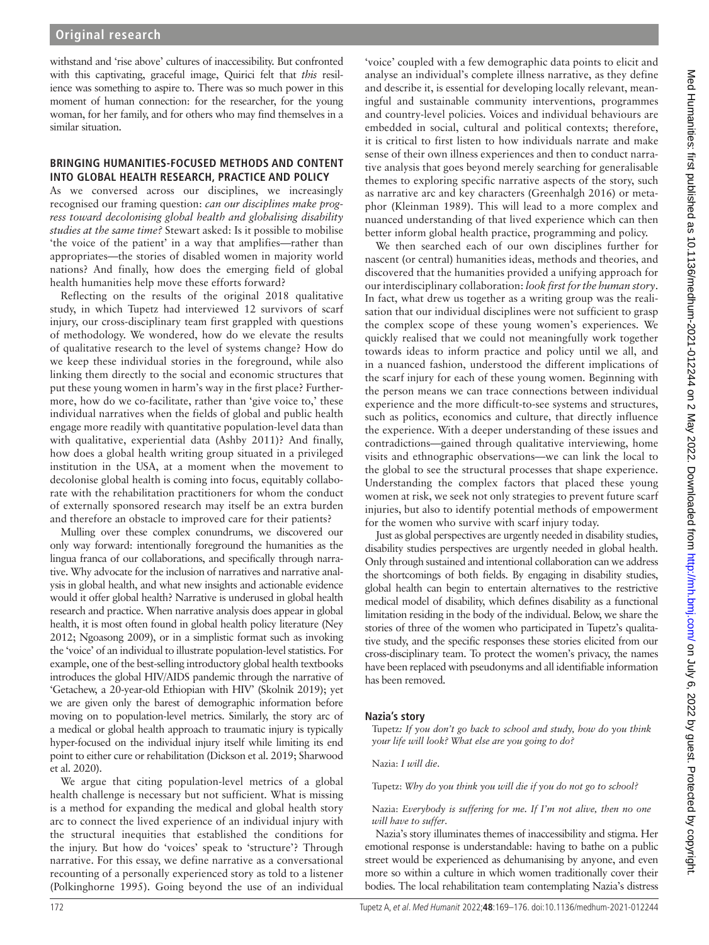withstand and 'rise above' cultures of inaccessibility. But confronted with this captivating, graceful image, Quirici felt that *this* resilience was something to aspire to. There was so much power in this moment of human connection: for the researcher, for the young woman, for her family, and for others who may find themselves in a similar situation.

## **BRINGING HUMANITIES-FOCUSED METHODS AND CONTENT INTO GLOBAL HEALTH RESEARCH, PRACTICE AND POLICY**

As we conversed across our disciplines, we increasingly recognised our framing question: *can our disciplines make progress toward decolonising global health and globalising disability studies at the same time?* Stewart asked: Is it possible to mobilise 'the voice of the patient' in a way that amplifies—rather than appropriates—the stories of disabled women in majority world nations? And finally, how does the emerging field of global health humanities help move these efforts forward?

Reflecting on the results of the original 2018 qualitative study, in which Tupetz had interviewed 12 survivors of scarf injury, our cross-disciplinary team first grappled with questions of methodology. We wondered, how do we elevate the results of qualitative research to the level of systems change? How do we keep these individual stories in the foreground, while also linking them directly to the social and economic structures that put these young women in harm's way in the first place? Furthermore, how do we co-facilitate, rather than 'give voice to,' these individual narratives when the fields of global and public health engage more readily with quantitative population-level data than with qualitative, experiential data ([Ashby 2011\)](#page-7-17)? And finally, how does a global health writing group situated in a privileged institution in the USA, at a moment when the movement to decolonise global health is coming into focus, equitably collaborate with the rehabilitation practitioners for whom the conduct of externally sponsored research may itself be an extra burden and therefore an obstacle to improved care for their patients?

Mulling over these complex conundrums, we discovered our only way forward: intentionally foreground the humanities as the lingua franca of our collaborations, and specifically through narrative. Why advocate for the inclusion of narratives and narrative analysis in global health, and what new insights and actionable evidence would it offer global health? Narrative is underused in global health research and practice. When narrative analysis does appear in global health, it is most often found in global health policy literature [\(Ney](#page-7-18)  [2012](#page-7-18); [Ngoasong 2009\)](#page-7-19), or in a simplistic format such as invoking the 'voice' of an individual to illustrate population-level statistics. For example, one of the best-selling introductory global health textbooks introduces the global HIV/AIDS pandemic through the narrative of 'Getachew, a 20-year-old Ethiopian with HIV' [\(Skolnik 2019\)](#page-7-20); yet we are given only the barest of demographic information before moving on to population-level metrics. Similarly, the story arc of a medical or global health approach to traumatic injury is typically hyper-focused on the individual injury itself while limiting its end point to either cure or rehabilitation [\(Dickson et](#page-7-21) al. 2019; [Sharwood](#page-7-22)  et [al. 2020\)](#page-7-22).

We argue that citing population-level metrics of a global health challenge is necessary but not sufficient. What is missing is a method for expanding the medical and global health story arc to connect the lived experience of an individual injury with the structural inequities that established the conditions for the injury. But how do 'voices' speak to 'structure'? Through narrative. For this essay, we define narrative as a conversational recounting of a personally experienced story as told to a listener ([Polkinghorne 1995\)](#page-7-23). Going beyond the use of an individual

'voice' coupled with a few demographic data points to elicit and analyse an individual's complete illness narrative, as they define and describe it, is essential for developing locally relevant, meaningful and sustainable community interventions, programmes and country-level policies. Voices and individual behaviours are embedded in social, cultural and political contexts; therefore, it is critical to first listen to how individuals narrate and make sense of their own illness experiences and then to conduct narrative analysis that goes beyond merely searching for generalisable themes to exploring specific narrative aspects of the story, such as narrative arc and key characters ([Greenhalgh 2016](#page-7-24)) or metaphor ([Kleinman 1989\)](#page-7-25). This will lead to a more complex and nuanced understanding of that lived experience which can then better inform global health practice, programming and policy.

We then searched each of our own disciplines further for nascent (or central) humanities ideas, methods and theories, and discovered that the humanities provided a unifying approach for our interdisciplinary collaboration: *look first for the human story*. In fact, what drew us together as a writing group was the realisation that our individual disciplines were not sufficient to grasp the complex scope of these young women's experiences. We quickly realised that we could not meaningfully work together towards ideas to inform practice and policy until we all, and in a nuanced fashion, understood the different implications of the scarf injury for each of these young women. Beginning with the person means we can trace connections between individual experience and the more difficult-to-see systems and structures, such as politics, economics and culture, that directly influence the experience. With a deeper understanding of these issues and contradictions—gained through qualitative interviewing, home visits and ethnographic observations—we can link the local to the global to see the structural processes that shape experience. Understanding the complex factors that placed these young women at risk, we seek not only strategies to prevent future scarf injuries, but also to identify potential methods of empowerment for the women who survive with scarf injury today.

Just as global perspectives are urgently needed in disability studies, disability studies perspectives are urgently needed in global health. Only through sustained and intentional collaboration can we address the shortcomings of both fields. By engaging in disability studies, global health can begin to entertain alternatives to the restrictive medical model of disability, which defines disability as a functional limitation residing in the body of the individual. Below, we share the stories of three of the women who participated in Tupetz's qualitative study, and the specific responses these stories elicited from our cross-disciplinary team. To protect the women's privacy, the names have been replaced with pseudonyms and all identifiable information has been removed.

## **Nazia's story**

Tupetz*: If you don't go back to school and study, how do you think your life will look? What else are you going to do?*

Nazia: *I will die*.

Tupetz: *Why do you think you will die if you do not go to school?*

#### Nazia: *Everybody is suffering for me. If I'm not alive, then no one will have to suffer*.

Nazia's story illuminates themes of inaccessibility and stigma. Her emotional response is understandable: having to bathe on a public street would be experienced as dehumanising by anyone, and even more so within a culture in which women traditionally cover their bodies. The local rehabilitation team contemplating Nazia's distress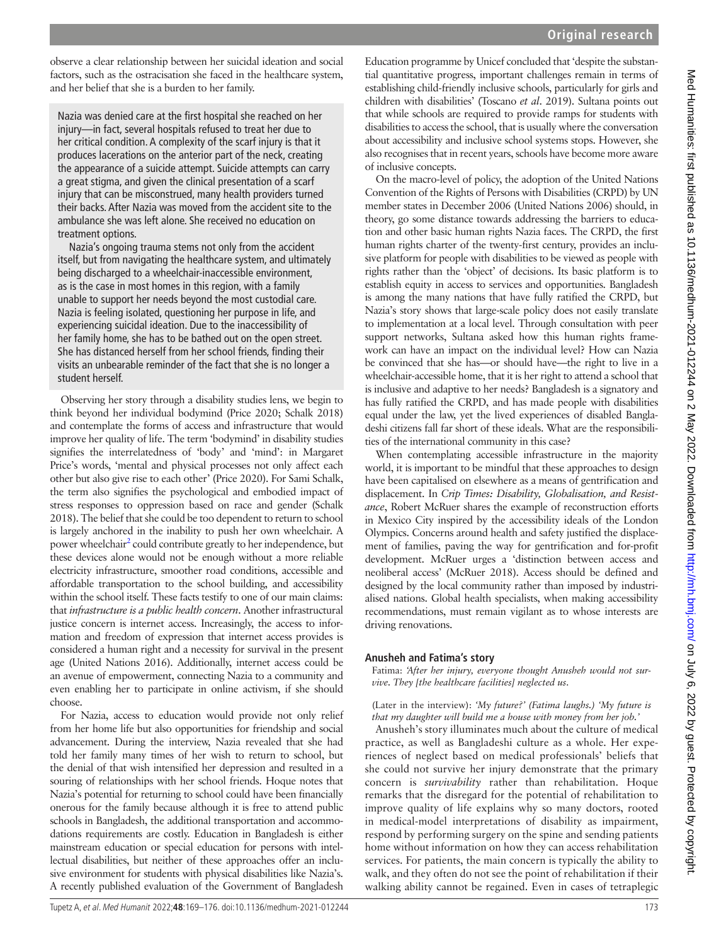observe a clear relationship between her suicidal ideation and social factors, such as the ostracisation she faced in the healthcare system, and her belief that she is a burden to her family.

Nazia was denied care at the first hospital she reached on her injury—in fact, several hospitals refused to treat her due to her critical condition. A complexity of the scarf injury is that it produces lacerations on the anterior part of the neck, creating the appearance of a suicide attempt. Suicide attempts can carry a great stigma, and given the clinical presentation of a scarf injury that can be misconstrued, many health providers turned their backs. After Nazia was moved from the accident site to the ambulance she was left alone. She received no education on treatment options.

Nazia's ongoing trauma stems not only from the accident itself, but from navigating the healthcare system, and ultimately being discharged to a wheelchair-inaccessible environment, as is the case in most homes in this region, with a family unable to support her needs beyond the most custodial care. Nazia is feeling isolated, questioning her purpose in life, and experiencing suicidal ideation. Due to the inaccessibility of her family home, she has to be bathed out on the open street. She has distanced herself from her school friends, finding their visits an unbearable reminder of the fact that she is no longer a student herself.

Observing her story through a disability studies lens, we begin to think beyond her individual bodymind [\(Price 2020](#page-7-26); [Schalk 2018\)](#page-7-27) and contemplate the forms of access and infrastructure that would improve her quality of life. The term 'bodymind' in disability studies signifies the interrelatedness of 'body' and 'mind': in Margaret Price's words, 'mental and physical processes not only affect each other but also give rise to each other' [\(Price 2020\)](#page-7-26). For Sami Schalk, the term also signifies the psychological and embodied impact of stress responses to oppression based on race and gender [\(Schalk](#page-7-27)  [2018](#page-7-27)). The belief that she could be too dependent to return to school is largely anchored in the inability to push her own wheelchair. A power wheelchair<sup>[2](#page-7-28)</sup> could contribute greatly to her independence, but these devices alone would not be enough without a more reliable electricity infrastructure, smoother road conditions, accessible and affordable transportation to the school building, and accessibility within the school itself. These facts testify to one of our main claims: that *infrastructure is a public health concern*. Another infrastructural justice concern is internet access. Increasingly, the access to information and freedom of expression that internet access provides is considered a human right and a necessity for survival in the present age ([United Nations 2016](#page-7-29)). Additionally, internet access could be an avenue of empowerment, connecting Nazia to a community and even enabling her to participate in online activism, if she should choose.

For Nazia, access to education would provide not only relief from her home life but also opportunities for friendship and social advancement. During the interview, Nazia revealed that she had told her family many times of her wish to return to school, but the denial of that wish intensified her depression and resulted in a souring of relationships with her school friends. Hoque notes that Nazia's potential for returning to school could have been financially onerous for the family because although it is free to attend public schools in Bangladesh, the additional transportation and accommodations requirements are costly. Education in Bangladesh is either mainstream education or special education for persons with intellectual disabilities, but neither of these approaches offer an inclusive environment for students with physical disabilities like Nazia's. A recently published evaluation of the Government of Bangladesh

Education programme by Unicef concluded that 'despite the substantial quantitative progress, important challenges remain in terms of establishing child-friendly inclusive schools, particularly for girls and children with disabilities' [\(Toscano](#page-7-30) *et al*. 2019). Sultana points out that while schools are required to provide ramps for students with disabilities to access the school, that is usually where the conversation about accessibility and inclusive school systems stops. However, she also recognises that in recent years, schools have become more aware of inclusive concepts.

On the macro-level of policy, the adoption of the United Nations Convention of the Rights of Persons with Disabilities (CRPD) by UN member states in December 2006 ([United Nations 2006\)](#page-7-31) should, in theory, go some distance towards addressing the barriers to education and other basic human rights Nazia faces. The CRPD, the first human rights charter of the twenty-first century, provides an inclusive platform for people with disabilities to be viewed as people with rights rather than the 'object' of decisions. Its basic platform is to establish equity in access to services and opportunities. Bangladesh is among the many nations that have fully ratified the CRPD, but Nazia's story shows that large-scale policy does not easily translate to implementation at a local level. Through consultation with peer support networks, Sultana asked how this human rights framework can have an impact on the individual level? How can Nazia be convinced that she has—or should have—the right to live in a wheelchair-accessible home, that it is her right to attend a school that is inclusive and adaptive to her needs? Bangladesh is a signatory and has fully ratified the CRPD, and has made people with disabilities equal under the law, yet the lived experiences of disabled Bangladeshi citizens fall far short of these ideals. What are the responsibilities of the international community in this case?

When contemplating accessible infrastructure in the majority world, it is important to be mindful that these approaches to design have been capitalised on elsewhere as a means of gentrification and displacement. In *Crip Times: Disability, Globalisation, and Resistance*, Robert McRuer shares the example of reconstruction efforts in Mexico City inspired by the accessibility ideals of the London Olympics. Concerns around health and safety justified the displacement of families, paving the way for gentrification and for-profit development. McRuer urges a 'distinction between access and neoliberal access' ([McRuer 2018\)](#page-7-32). Access should be defined and designed by the local community rather than imposed by industrialised nations. Global health specialists, when making accessibility recommendations, must remain vigilant as to whose interests are driving renovations.

## **Anusheh and Fatima's story**

Fatima: *'After her injury, everyone thought Anusheh would not survive. They [the healthcare facilities] neglected us*.

#### (Later in the interview): *'My future?' (Fatima laughs.) 'My future is that my daughter will build me a house with money from her job.'*

Anusheh's story illuminates much about the culture of medical practice, as well as Bangladeshi culture as a whole. Her experiences of neglect based on medical professionals' beliefs that she could not survive her injury demonstrate that the primary concern is *survivability* rather than rehabilitation. Hoque remarks that the disregard for the potential of rehabilitation to improve quality of life explains why so many doctors, rooted in medical-model interpretations of disability as impairment, respond by performing surgery on the spine and sending patients home without information on how they can access rehabilitation services. For patients, the main concern is typically the ability to walk, and they often do not see the point of rehabilitation if their walking ability cannot be regained. Even in cases of tetraplegic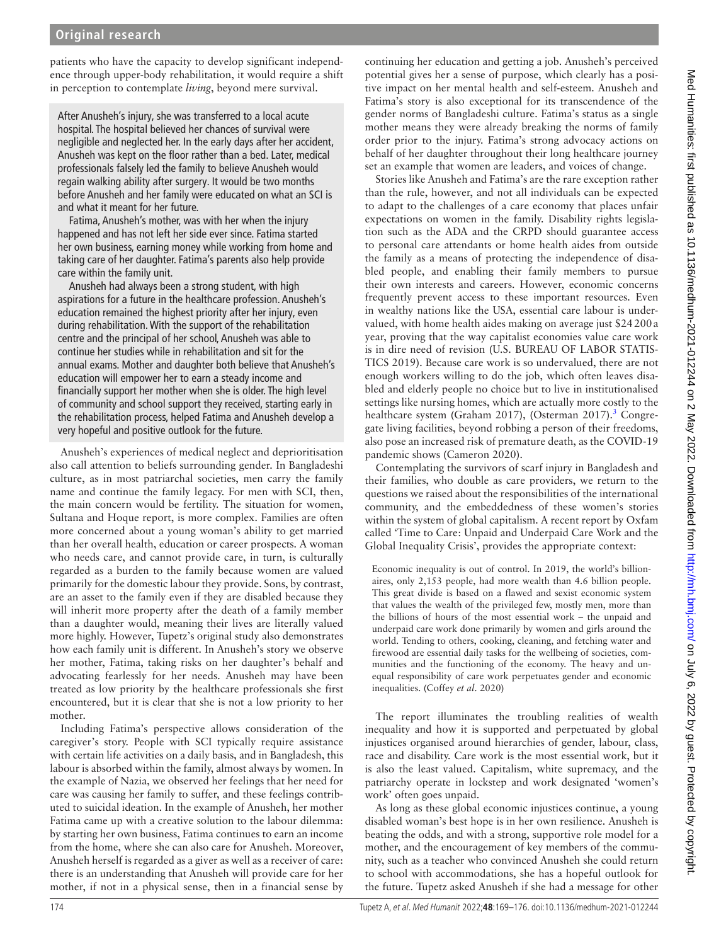patients who have the capacity to develop significant independence through upper-body rehabilitation, it would require a shift in perception to contemplate *living*, beyond mere survival.

After Anusheh's injury, she was transferred to a local acute hospital. The hospital believed her chances of survival were negligible and neglected her. In the early days after her accident, Anusheh was kept on the floor rather than a bed. Later, medical professionals falsely led the family to believe Anusheh would regain walking ability after surgery. It would be two months before Anusheh and her family were educated on what an SCI is and what it meant for her future.

Fatima, Anusheh's mother, was with her when the injury happened and has not left her side ever since. Fatima started her own business, earning money while working from home and taking care of her daughter. Fatima's parents also help provide care within the family unit.

Anusheh had always been a strong student, with high aspirations for a future in the healthcare profession. Anusheh's education remained the highest priority after her injury, even during rehabilitation. With the support of the rehabilitation centre and the principal of her school, Anusheh was able to continue her studies while in rehabilitation and sit for the annual exams. Mother and daughter both believe that Anusheh's education will empower her to earn a steady income and financially support her mother when she is older. The high level of community and school support they received, starting early in the rehabilitation process, helped Fatima and Anusheh develop a very hopeful and positive outlook for the future.

Anusheh's experiences of medical neglect and deprioritisation also call attention to beliefs surrounding gender. In Bangladeshi culture, as in most patriarchal societies, men carry the family name and continue the family legacy. For men with SCI, then, the main concern would be fertility. The situation for women, Sultana and Hoque report, is more complex. Families are often more concerned about a young woman's ability to get married than her overall health, education or career prospects. A woman who needs care, and cannot provide care, in turn, is culturally regarded as a burden to the family because women are valued primarily for the domestic labour they provide. Sons, by contrast, are an asset to the family even if they are disabled because they will inherit more property after the death of a family member than a daughter would, meaning their lives are literally valued more highly. However, Tupetz's original study also demonstrates how each family unit is different. In Anusheh's story we observe her mother, Fatima, taking risks on her daughter's behalf and advocating fearlessly for her needs. Anusheh may have been treated as low priority by the healthcare professionals she first encountered, but it is clear that she is not a low priority to her mother.

Including Fatima's perspective allows consideration of the caregiver's story. People with SCI typically require assistance with certain life activities on a daily basis, and in Bangladesh, this labour is absorbed within the family, almost always by women. In the example of Nazia, we observed her feelings that her need for care was causing her family to suffer, and these feelings contributed to suicidal ideation. In the example of Anusheh, her mother Fatima came up with a creative solution to the labour dilemma: by starting her own business, Fatima continues to earn an income from the home, where she can also care for Anusheh. Moreover, Anusheh herself is regarded as a giver as well as a receiver of care: there is an understanding that Anusheh will provide care for her mother, if not in a physical sense, then in a financial sense by

continuing her education and getting a job. Anusheh's perceived potential gives her a sense of purpose, which clearly has a positive impact on her mental health and self-esteem. Anusheh and Fatima's story is also exceptional for its transcendence of the gender norms of Bangladeshi culture. Fatima's status as a single mother means they were already breaking the norms of family order prior to the injury. Fatima's strong advocacy actions on behalf of her daughter throughout their long healthcare journey set an example that women are leaders, and voices of change.

Stories like Anusheh and Fatima's are the rare exception rather than the rule, however, and not all individuals can be expected to adapt to the challenges of a care economy that places unfair expectations on women in the family. Disability rights legislation such as the ADA and the CRPD should guarantee access to personal care attendants or home health aides from outside the family as a means of protecting the independence of disabled people, and enabling their family members to pursue their own interests and careers. However, economic concerns frequently prevent access to these important resources. Even in wealthy nations like the USA, essential care labour is undervalued, with home health aides making on average just \$24200a year, proving that the way capitalist economies value care work is in dire need of revision ([U.S. BUREAU OF LABOR STATIS-](#page-7-33)[TICS 2019\)](#page-7-33). Because care work is so undervalued, there are not enough workers willing to do the job, which often leaves disabled and elderly people no choice but to live in institutionalised settings like nursing homes, which are actually more costly to the healthcare system ([Graham 2017](#page-7-34)), [\(Osterman 2017\)](#page-7-35).<sup>[3](#page-7-36)</sup> Congregate living facilities, beyond robbing a person of their freedoms, also pose an increased risk of premature death, as the COVID-19 pandemic shows [\(Cameron 2020\)](#page-7-37).

Contemplating the survivors of scarf injury in Bangladesh and their families, who double as care providers, we return to the questions we raised about the responsibilities of the international community, and the embeddedness of these women's stories within the system of global capitalism. A recent report by Oxfam called 'Time to Care: Unpaid and Underpaid Care Work and the Global Inequality Crisis', provides the appropriate context:

Economic inequality is out of control. In 2019, the world's billionaires, only 2,153 people, had more wealth than 4.6 billion people. This great divide is based on a flawed and sexist economic system that values the wealth of the privileged few, mostly men, more than the billions of hours of the most essential work – the unpaid and underpaid care work done primarily by women and girls around the world. Tending to others, cooking, cleaning, and fetching water and firewood are essential daily tasks for the wellbeing of societies, communities and the functioning of the economy. The heavy and unequal responsibility of care work perpetuates gender and economic inequalities. ([Coffey](#page-7-38) *et al*. 2020)

The report illuminates the troubling realities of wealth inequality and how it is supported and perpetuated by global injustices organised around hierarchies of gender, labour, class, race and disability. Care work is the most essential work, but it is also the least valued. Capitalism, white supremacy, and the patriarchy operate in lockstep and work designated 'women's work' often goes unpaid.

As long as these global economic injustices continue, a young disabled woman's best hope is in her own resilience. Anusheh is beating the odds, and with a strong, supportive role model for a mother, and the encouragement of key members of the community, such as a teacher who convinced Anusheh she could return to school with accommodations, she has a hopeful outlook for the future. Tupetz asked Anusheh if she had a message for other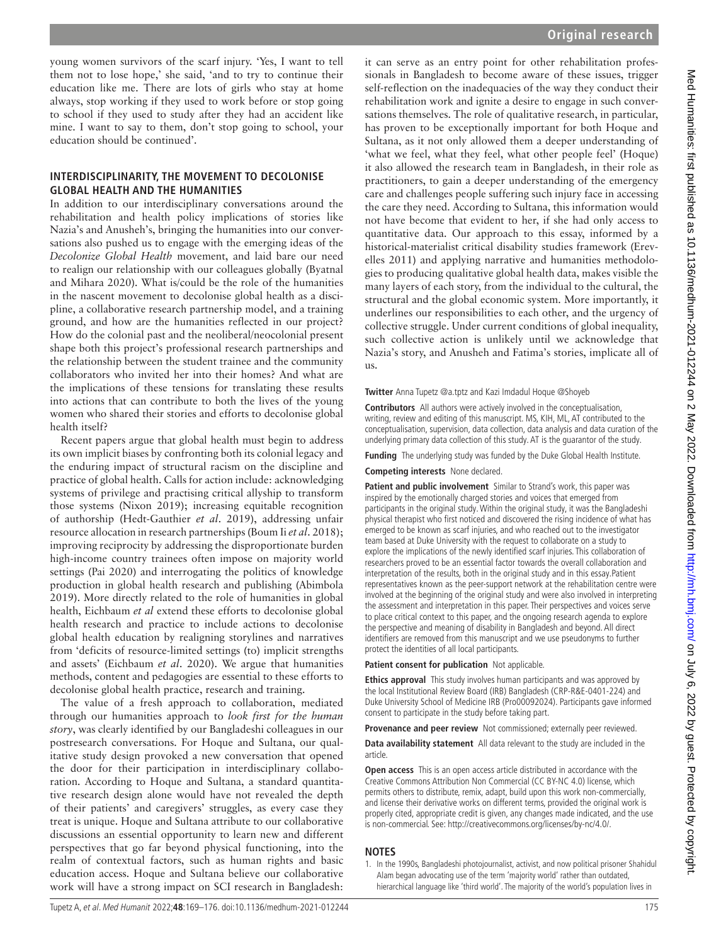young women survivors of the scarf injury. 'Yes, I want to tell them not to lose hope,' she said, 'and to try to continue their education like me. There are lots of girls who stay at home always, stop working if they used to work before or stop going to school if they used to study after they had an accident like mine. I want to say to them, don't stop going to school, your education should be continued'.

## **INTERDISCIPLINARITY, THE MOVEMENT TO DECOLONISE GLOBAL HEALTH AND THE HUMANITIES**

In addition to our interdisciplinary conversations around the rehabilitation and health policy implications of stories like Nazia's and Anusheh's, bringing the humanities into our conversations also pushed us to engage with the emerging ideas of the *Decolonize Global Health* movement, and laid bare our need to realign our relationship with our colleagues globally ([Byatnal](#page-7-39)  [and Mihara 2020](#page-7-39)). What is/could be the role of the humanities in the nascent movement to decolonise global health as a discipline, a collaborative research partnership model, and a training ground, and how are the humanities reflected in our project? How do the colonial past and the neoliberal/neocolonial present shape both this project's professional research partnerships and the relationship between the student trainee and the community collaborators who invited her into their homes? And what are the implications of these tensions for translating these results into actions that can contribute to both the lives of the young women who shared their stories and efforts to decolonise global health itself?

Recent papers argue that global health must begin to address its own implicit biases by confronting both its colonial legacy and the enduring impact of structural racism on the discipline and practice of global health. Calls for action include: acknowledging systems of privilege and practising critical allyship to transform those systems [\(Nixon 2019\)](#page-7-40); increasing equitable recognition of authorship [\(Hedt-Gauthier](#page-7-41) *et al*. 2019), addressing unfair resource allocation in research partnerships ([Boum Ii](#page-7-42) *et al*. 2018); improving reciprocity by addressing the disproportionate burden high-income country trainees often impose on majority world settings ([Pai 2020\)](#page-7-43) and interrogating the politics of knowledge production in global health research and publishing [\(Abimbola](#page-7-44)  [2019](#page-7-44)). More directly related to the role of humanities in global health, Eichbaum *et al* extend these efforts to decolonise global health research and practice to include actions to decolonise global health education by realigning storylines and narratives from 'deficits of resource-limited settings (to) implicit strengths and assets' ([Eichbaum](#page-7-45) *et al*. 2020). We argue that humanities methods, content and pedagogies are essential to these efforts to decolonise global health practice, research and training.

The value of a fresh approach to collaboration, mediated through our humanities approach to *look first for the human story*, was clearly identified by our Bangladeshi colleagues in our postresearch conversations. For Hoque and Sultana, our qualitative study design provoked a new conversation that opened the door for their participation in interdisciplinary collaboration. According to Hoque and Sultana, a standard quantitative research design alone would have not revealed the depth of their patients' and caregivers' struggles, as every case they treat is unique. Hoque and Sultana attribute to our collaborative discussions an essential opportunity to learn new and different perspectives that go far beyond physical functioning, into the realm of contextual factors, such as human rights and basic education access. Hoque and Sultana believe our collaborative work will have a strong impact on SCI research in Bangladesh:

it can serve as an entry point for other rehabilitation professionals in Bangladesh to become aware of these issues, trigger self-reflection on the inadequacies of the way they conduct their rehabilitation work and ignite a desire to engage in such conversations themselves. The role of qualitative research, in particular, has proven to be exceptionally important for both Hoque and Sultana, as it not only allowed them a deeper understanding of 'what we feel, what they feel, what other people feel' (Hoque) it also allowed the research team in Bangladesh, in their role as practitioners, to gain a deeper understanding of the emergency care and challenges people suffering such injury face in accessing the care they need. According to Sultana, this information would not have become that evident to her, if she had only access to quantitative data. Our approach to this essay, informed by a historical-materialist critical disability studies framework ([Erev](#page-7-8)[elles 2011\)](#page-7-8) and applying narrative and humanities methodologies to producing qualitative global health data, makes visible the many layers of each story, from the individual to the cultural, the structural and the global economic system. More importantly, it underlines our responsibilities to each other, and the urgency of collective struggle. Under current conditions of global inequality, such collective action is unlikely until we acknowledge that Nazia's story, and Anusheh and Fatima's stories, implicate all of us.

**Twitter** Anna Tupetz [@a.tptz](https://twitter.com/a.tptz) and Kazi Imdadul Hoque [@Shoyeb](https://twitter.com/Shoyeb)

**Contributors** All authors were actively involved in the conceptualisation, writing, review and editing of this manuscript. MS, KIH, ML, AT contributed to the conceptualisation, supervision, data collection, data analysis and data curation of the underlying primary data collection of this study. AT is the guarantor of the study.

**Funding** The underlying study was funded by the Duke Global Health Institute.

#### **Competing interests** None declared.

**Patient and public involvement** Similar to Strand's work, this paper was inspired by the emotionally charged stories and voices that emerged from participants in the original study. Within the original study, it was the Bangladeshi physical therapist who first noticed and discovered the rising incidence of what has emerged to be known as scarf injuries, and who reached out to the investigator team based at Duke University with the request to collaborate on a study to explore the implications of the newly identified scarf injuries. This collaboration of researchers proved to be an essential factor towards the overall collaboration and interpretation of the results, both in the original study and in this essay.Patient representatives known as the peer-support network at the rehabilitation centre were involved at the beginning of the original study and were also involved in interpreting the assessment and interpretation in this paper. Their perspectives and voices serve to place critical context to this paper, and the ongoing research agenda to explore the perspective and meaning of disability in Bangladesh and beyond. All direct identifiers are removed from this manuscript and we use pseudonyms to further protect the identities of all local participants.

**Patient consent for publication** Not applicable.

**Ethics approval** This study involves human participants and was approved by the local Institutional Review Board (IRB) Bangladesh (CRP-R&E-0401-224) and Duke University School of Medicine IRB (Pro00092024). Participants gave informed consent to participate in the study before taking part.

**Provenance and peer review** Not commissioned; externally peer reviewed.

**Data availability statement** All data relevant to the study are included in the article.

**Open access** This is an open access article distributed in accordance with the Creative Commons Attribution Non Commercial (CC BY-NC 4.0) license, which permits others to distribute, remix, adapt, build upon this work non-commercially, and license their derivative works on different terms, provided the original work is properly cited, appropriate credit is given, any changes made indicated, and the use is non-commercial. See: [http://creativecommons.org/licenses/by-nc/4.0/.](http://creativecommons.org/licenses/by-nc/4.0/)

#### **NOTES**

<span id="page-6-0"></span>1. In the 1990s, Bangladeshi photojournalist, activist, and now political prisoner Shahidul Alam began advocating use of the term 'majority world' rather than outdated, hierarchical language like 'third world'. The majority of the world's population lives in